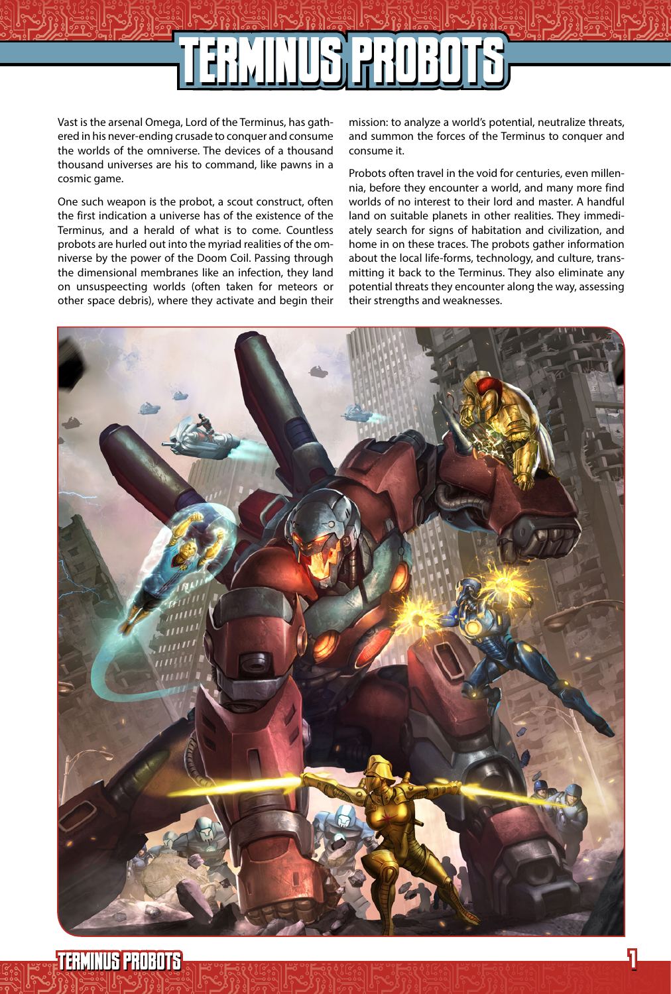# $\mathbb{E}[\mathbb{E}[\mathbb{E}[\mathbb{E}[\mathbb{E}[\mathbb{E}[\mathbb{E}[\mathbb{E}[\mathbb{E}[\mathbb{E}[\mathbb{E}[\mathbb{E}[\mathbb{E}[\mathbb{E}[\mathbb{E}[\mathbb{E}[\mathbb{E}[\mathbb{E}[\mathbb{E}[\mathbb{E}[\mathbb{E}[\mathbb{E}[\mathbb{E}[\mathbb{E}[\mathbb{E}[\mathbb{E}[\mathbb{E}[\mathbb{E}[\mathbb{E}[\mathbb{E}[\mathbb{E}[\mathbb{E}[\mathbb{E}[\mathbb{E}[\mathbb{E}[\mathbb{E}[\mathbb$ TERMINUS PROBOTS

Vast is the arsenal Omega, Lord of the Terminus, has gathered in his never-ending crusade to conquer and consume the worlds of the omniverse. The devices of a thousand thousand universes are his to command, like pawns in a cosmic game.

One such weapon is the probot, a scout construct, often the first indication a universe has of the existence of the Terminus, and a herald of what is to come. Countless probots are hurled out into the myriad realities of the omniverse by the power of the Doom Coil. Passing through the dimensional membranes like an infection, they land on unsuspeecting worlds (often taken for meteors or other space debris), where they activate and begin their

mission: to analyze a world's potential, neutralize threats, and summon the forces of the Terminus to conquer and consume it.

Probots often travel in the void for centuries, even millennia, before they encounter a world, and many more find worlds of no interest to their lord and master. A handful land on suitable planets in other realities. They immediately search for signs of habitation and civilization, and home in on these traces. The probots gather information about the local life-forms, technology, and culture, transmitting it back to the Terminus. They also eliminate any potential threats they encounter along the way, assessing their strengths and weaknesses.

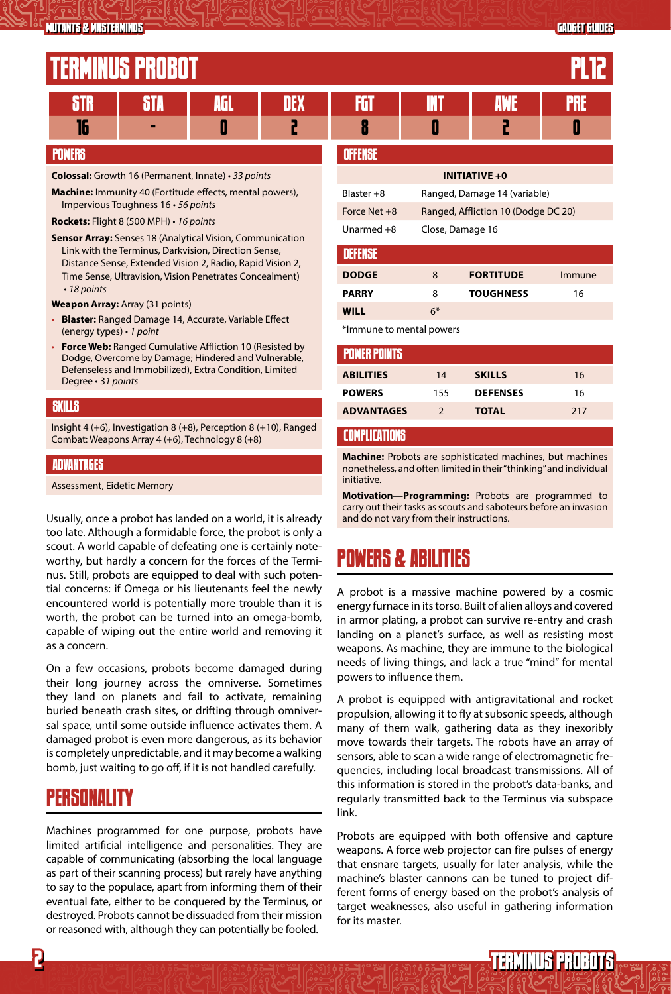## FRMINIIS PROROT

| <u>i Liiminuu I Hudu I</u> |  |  |  |  |  |  |  |  |  |
|----------------------------|--|--|--|--|--|--|--|--|--|
| .                          |  |  |  |  |  |  |  |  |  |
| Ш                          |  |  |  |  |  |  |  |  |  |

### POWERS

**Colossal:** Growth 16 (Permanent, Innate) • *33 points*

**Machine:** Immunity 40 (Fortitude effects, mental powers), Impervious Toughness 16 • *56 points*

**Rockets:** Flight 8 (500 MPH) • *16 points*

**Sensor Array:** Senses 18 (Analytical Vision, Communication Link with the Terminus, Darkvision, Direction Sense, Distance Sense, Extended Vision 2, Radio, Rapid Vision 2, Time Sense, Ultravision, Vision Penetrates Concealment) • *18 points*

**Weapon Array:** Array (31 points)

- *•* **Blaster:** Ranged Damage 14, Accurate, Variable Effect (energy types) • *1 point*
- *•* **Force Web:** Ranged Cumulative Affliction 10 (Resisted by Dodge, Overcome by Damage; Hindered and Vulnerable, Defenseless and Immobilized), Extra Condition, Limited Degree • 3*1 points*

### SKILLS

Insight 4 (+6), Investigation 8 (+8), Perception 8 (+10), Ranged Combat: Weapons Array 4 (+6), Technology 8 (+8)

### ADVANTAGES

Assessment, Eidetic Memory

Usually, once a probot has landed on a world, it is already and do not vary from their instructions. too late. Although a formidable force, the probot is only a scout. A world capable of defeating one is certainly noteworthy, but hardly a concern for the forces of the Terminus. Still, probots are equipped to deal with such potential concerns: if Omega or his lieutenants feel the newly encountered world is potentially more trouble than it is worth, the probot can be turned into an omega-bomb, capable of wiping out the entire world and removing it as a concern.

On a few occasions, probots become damaged during their long journey across the omniverse. Sometimes they land on planets and fail to activate, remaining buried beneath crash sites, or drifting through omniversal space, until some outside influence activates them. A damaged probot is even more dangerous, as its behavior is completely unpredictable, and it may become a walking bomb, just waiting to go off, if it is not handled carefully.

### PERSONALITY

Machines programmed for one purpose, probots have limited artificial intelligence and personalities. They are capable of communicating (absorbing the local language as part of their scanning process) but rarely have anything to say to the populace, apart from informing them of their eventual fate, either to be conquered by the Terminus, or destroyed. Probots cannot be dissuaded from their mission or reasoned with, although they can potentially be fooled.

| OFFENSE                  |                                     |                  |        |  |  |  |  |  |
|--------------------------|-------------------------------------|------------------|--------|--|--|--|--|--|
| <b>INITIATIVE +0</b>     |                                     |                  |        |  |  |  |  |  |
| $Blaster + 8$            | Ranged, Damage 14 (variable)        |                  |        |  |  |  |  |  |
| Force Net $+8$           | Ranged, Affliction 10 (Dodge DC 20) |                  |        |  |  |  |  |  |
| Unarmed $+8$             | Close, Damage 16                    |                  |        |  |  |  |  |  |
| <b>DEFENSE</b>           |                                     |                  |        |  |  |  |  |  |
| <b>DODGE</b>             | 8                                   | <b>FORTITUDE</b> | Immune |  |  |  |  |  |
| <b>PARRY</b>             | 8                                   | <b>TOUGHNESS</b> | 16     |  |  |  |  |  |
| <b>WILL</b>              | $6*$                                |                  |        |  |  |  |  |  |
| *Immune to mental powers |                                     |                  |        |  |  |  |  |  |

| <b>POWER POINTS</b> |               |                 |     |
|---------------------|---------------|-----------------|-----|
| <b>ABILITIES</b>    | 14            | <b>SKILLS</b>   | 16  |
| <b>POWERS</b>       | 155           | <b>DEFENSES</b> | 16  |
| <b>ADVANTAGES</b>   | $\mathcal{P}$ | <b>TOTAL</b>    | 217 |
|                     |               |                 |     |

### COMPLICATIONS

**Machine:** Probots are sophisticated machines, but machines nonetheless, and often limited in their "thinking" and individual initiative.

**Motivation—Programming:** Probots are programmed to carry out their tasks as scouts and saboteurs before an invasion

### POWERS & ABILITIES

A probot is a massive machine powered by a cosmic energy furnace in its torso. Built of alien alloys and covered in armor plating, a probot can survive re-entry and crash landing on a planet's surface, as well as resisting most weapons. As machine, they are immune to the biological needs of living things, and lack a true "mind" for mental powers to influence them.

A probot is equipped with antigravitational and rocket propulsion, allowing it to fly at subsonic speeds, although many of them walk, gathering data as they inexoribly move towards their targets. The robots have an array of sensors, able to scan a wide range of electromagnetic frequencies, including local broadcast transmissions. All of this information is stored in the probot's data-banks, and regularly transmitted back to the Terminus via subspace link.

Probots are equipped with both offensive and capture weapons. A force web projector can fire pulses of energy that ensnare targets, usually for later analysis, while the machine's blaster cannons can be tuned to project different forms of energy based on the probot's analysis of target weaknesses, also useful in gathering information for its master.

TERMINUS PROBOTS